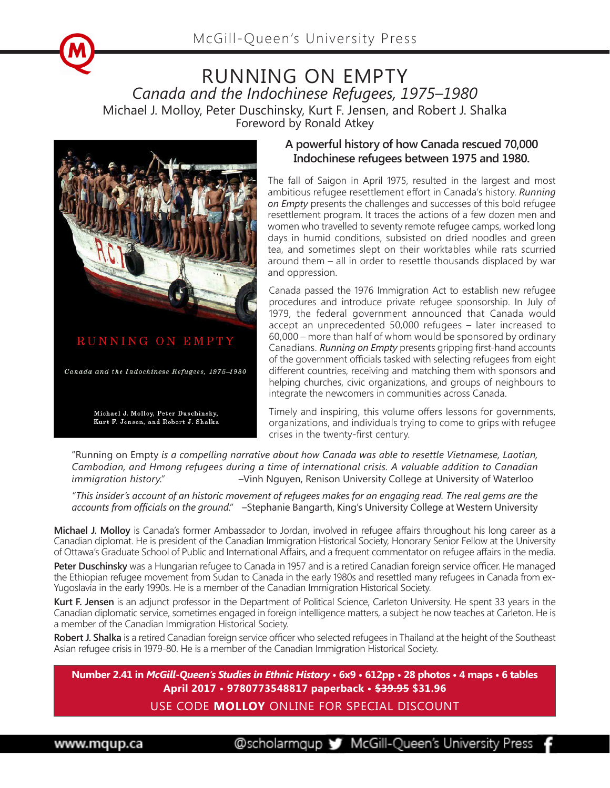



## **Indochinese refugees between 1975 and 1980.**

**A powerful history of how Canada rescued 70,000** 

The fall of Saigon in April 1975, resulted in the largest and most ambitious refugee resettlement effort in Canada's history. *Running on Empty* presents the challenges and successes of this bold refugee resettlement program. It traces the actions of a few dozen men and women who travelled to seventy remote refugee camps, worked long days in humid conditions, subsisted on dried noodles and green tea, and sometimes slept on their worktables while rats scurried around them – all in order to resettle thousands displaced by war and oppression.

Canada passed the 1976 Immigration Act to establish new refugee procedures and introduce private refugee sponsorship. In July of 1979, the federal government announced that Canada would accept an unprecedented 50,000 refugees – later increased to 60,000 – more than half of whom would be sponsored by ordinary Canadians. *Running on Empty* presents gripping first-hand accounts of the government officials tasked with selecting refugees from eight different countries, receiving and matching them with sponsors and helping churches, civic organizations, and groups of neighbours to integrate the newcomers in communities across Canada.

Timely and inspiring, this volume offers lessons for governments, organizations, and individuals trying to come to grips with refugee crises in the twenty-first century.

"Running on Empty *is a compelling narrative about how Canada was able to resettle Vietnamese, Laotian, Cambodian, and Hmong refugees during a time of international crisis. A valuable addition to Canadian immigration history." –*Vinh Nguyen, Renison University College at University of Waterloo

*"This insider's account of an historic movement of refugees makes for an engaging read. The real gems are the accounts from officials on the ground." –*Stephanie Bangarth, King's University College at Western University

**Michael J. Molloy** is Canada's former Ambassador to Jordan, involved in refugee affairs throughout his long career as a Canadian diplomat. He is president of the Canadian Immigration Historical Society, Honorary Senior Fellow at the University of Ottawa's Graduate School of Public and International Affairs, and a frequent commentator on refugee affairs in the media.

**Peter Duschinsky** was a Hungarian refugee to Canada in 1957 and is a retired Canadian foreign service officer. He managed the Ethiopian refugee movement from Sudan to Canada in the early 1980s and resettled many refugees in Canada from ex-Yugoslavia in the early 1990s. He is a member of the Canadian Immigration Historical Society.

**Kurt F. Jensen** is an adjunct professor in the Department of Political Science, Carleton University. He spent 33 years in the Canadian diplomatic service, sometimes engaged in foreign intelligence matters, a subject he now teaches at Carleton. He is a member of the Canadian Immigration Historical Society.

**Robert J. Shalka** is a retired Canadian foreign service officer who selected refugees in Thailand at the height of the Southeast Asian refugee crisis in 1979-80. He is a member of the Canadian Immigration Historical Society.

**Number 2.41 in** *McGill-Queen's Studies in Ethnic History* **• 6x9 • 612pp • 28 photos • 4 maps • 6 tables April 2017 • 9780773548817 paperback • \$39.95 \$31.96**

## USE CODE **MOLLOY** ONLINE FOR SPECIAL DISCOUNT